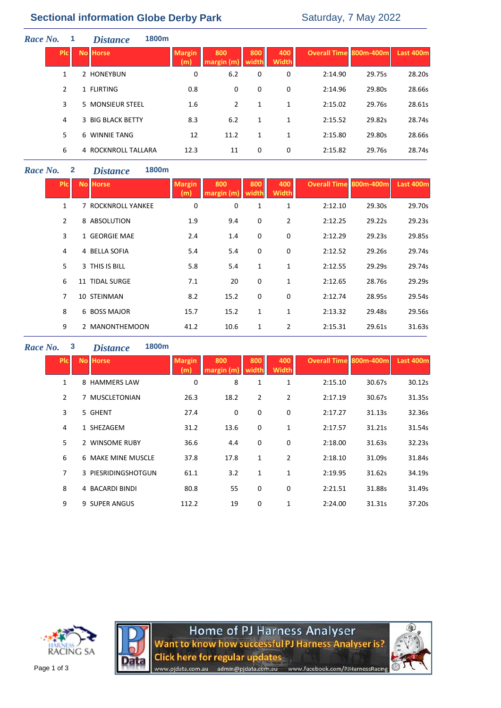# **Sectional information Globe Derby Park** Saturday, 7 May 2022

| Race No.     | <b>Distance</b>     | 1800m |                      |                   |              |                     |                               |        |           |
|--------------|---------------------|-------|----------------------|-------------------|--------------|---------------------|-------------------------------|--------|-----------|
| <b>Picil</b> | <b>No Horse</b>     |       | <b>Margin</b><br>(m) | 800<br>margin (m) | 800<br>width | 400<br><b>Width</b> | <b>Overall Time 800m-400m</b> |        | Last 400m |
| 1            | 2 HONEYBUN          |       | 0                    | 6.2               | 0            | 0                   | 2:14.90                       | 29.75s | 28.20s    |
| 2            | 1 FLIRTING          |       | 0.8                  | 0                 | 0            | 0                   | 2:14.96                       | 29.80s | 28.66s    |
| 3            | 5 MONSIEUR STEEL    |       | 1.6                  | 2                 | 1            | 1                   | 2:15.02                       | 29.76s | 28.61s    |
| 4            | 3 BIG BLACK BETTY   |       | 8.3                  | 6.2               | 1            | 1                   | 2:15.52                       | 29.82s | 28.74s    |
| 5            | 6 WINNIE TANG       |       | 12                   | 11.2              | 1            | $\mathbf{1}$        | 2:15.80                       | 29.80s | 28.66s    |
| 6            | 4 ROCKNROLL TALLARA |       | 12.3                 | 11                | 0            | 0                   | 2:15.82                       | 29.76s | 28.74s    |

### *Race No.* **2** *Distance* **1800m**

| <b>PIc</b>     | <b>No Horse</b>    | <b>Margin</b><br>(m) | 800<br>margin (m) | 800<br>width | 400<br><b>Width</b> | <b>Overall Time 800m-400m</b> |        | <b>Last 400m</b> |
|----------------|--------------------|----------------------|-------------------|--------------|---------------------|-------------------------------|--------|------------------|
| 1              | 7 ROCKNROLL YANKEE | 0                    | 0                 | 1            | 1                   | 2:12.10                       | 29.30s | 29.70s           |
| $\overline{2}$ | 8 ABSOLUTION       | 1.9                  | 9.4               | 0            | $\overline{2}$      | 2:12.25                       | 29.22s | 29.23s           |
| 3              | 1 GEORGIE MAE      | 2.4                  | 1.4               | 0            | 0                   | 2:12.29                       | 29.23s | 29.85s           |
| 4              | 4 BELLA SOFIA      | 5.4                  | 5.4               | 0            | 0                   | 2:12.52                       | 29.26s | 29.74s           |
| 5              | 3 THIS IS BILL     | 5.8                  | 5.4               | 1            | 1                   | 2:12.55                       | 29.29s | 29.74s           |
| 6              | 11 TIDAL SURGE     | 7.1                  | 20                | 0            | 1                   | 2:12.65                       | 28.76s | 29.29s           |
| 7              | 10 STEINMAN        | 8.2                  | 15.2              | 0            | 0                   | 2:12.74                       | 28.95s | 29.54s           |
| 8              | 6 BOSS MAJOR       | 15.7                 | 15.2              | $\mathbf{1}$ | 1                   | 2:13.32                       | 29.48s | 29.56s           |
| 9              | 2 MANONTHEMOON     | 41.2                 | 10.6              | 1            | 2                   | 2:15.31                       | 29.61s | 31.63s           |

## *Race No.* **3** *Distance* **1800m**

| <b>PIC</b>     | <b>No Horse</b>     | <b>Margin</b><br>(m) | 800<br>margin (m). | 800<br>width   | 400<br><b>Width</b> | <b>Overall Time 800m-400m</b> |        | Last 400m |
|----------------|---------------------|----------------------|--------------------|----------------|---------------------|-------------------------------|--------|-----------|
| 1              | 8 HAMMERS LAW       | 0                    | 8                  | 1              | 1                   | 2:15.10                       | 30.67s | 30.12s    |
| $\overline{2}$ | 7 MUSCLETONIAN      | 26.3                 | 18.2               | $\overline{2}$ | $\overline{2}$      | 2:17.19                       | 30.67s | 31.35s    |
| 3              | 5 GHENT             | 27.4                 | 0                  | $\mathbf 0$    | 0                   | 2:17.27                       | 31.13s | 32.36s    |
| 4              | 1 SHEZAGEM          | 31.2                 | 13.6               | 0              | 1                   | 2:17.57                       | 31.21s | 31.54s    |
| 5              | 2 WINSOME RUBY      | 36.6                 | 4.4                | 0              | 0                   | 2:18.00                       | 31.63s | 32.23s    |
| 6              | 6 MAKE MINE MUSCLE  | 37.8                 | 17.8               | 1              | $\overline{2}$      | 2:18.10                       | 31.09s | 31.84s    |
| $\overline{7}$ | 3 PIESRIDINGSHOTGUN | 61.1                 | 3.2                | 1              | 1                   | 2:19.95                       | 31.62s | 34.19s    |
| 8              | 4 BACARDI BINDI     | 80.8                 | 55                 | 0              | 0                   | 2:21.51                       | 31.88s | 31.49s    |
| 9              | 9 SUPER ANGUS       | 112.2                | 19                 | 0              | 1                   | 2:24.00                       | 31.31s | 37.20s    |





Home of PJ Harness Analyser<br>Want to know how successful PJ Harness Analyser is? **Click here for regular updates** admin@pjdata.com.au www.facebook.com/PJHarnessRacing www.pjdata.com.au

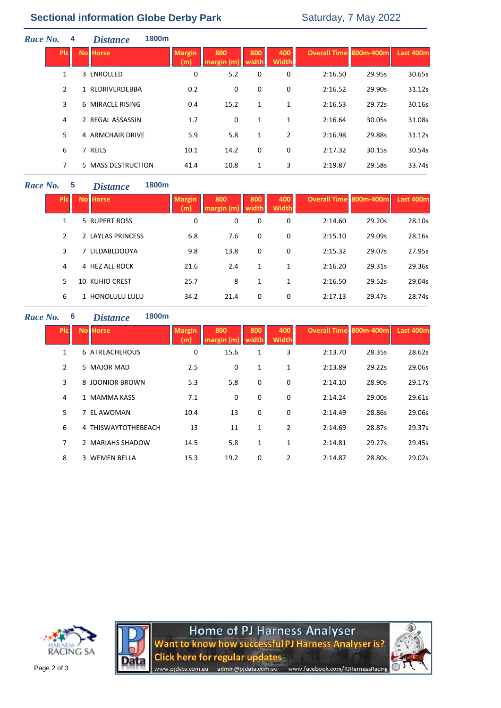# **Sectional information Globe Derby Park** Saturday, 7 May 2022

| Race No. |                | 4 | 1800m<br><b>Distance</b> |                      |                  |              |                     |                               |        |           |
|----------|----------------|---|--------------------------|----------------------|------------------|--------------|---------------------|-------------------------------|--------|-----------|
|          | <b>PIC</b>     |   | <b>No Horse</b>          | <b>Margin</b><br>(m) | 800<br>margin(m) | 800<br>width | 400<br><b>Width</b> | <b>Overall Time 800m-400m</b> |        | Last 400m |
|          | $\mathbf{1}$   |   | 3 ENROLLED               | 0                    | 5.2              | 0            | 0                   | 2:16.50                       | 29.95s | 30.65s    |
|          | $\overline{2}$ |   | 1 REDRIVERDEBBA          | 0.2                  | 0                | 0            | 0                   | 2:16.52                       | 29.90s | 31.12s    |
|          | 3              |   | 6 MIRACLE RISING         | 0.4                  | 15.2             | 1            | 1                   | 2:16.53                       | 29.72s | 30.16s    |
|          | 4              |   | 2 REGAL ASSASSIN         | 1.7                  | 0                | $\mathbf{1}$ | 1                   | 2:16.64                       | 30.05s | 31.08s    |
|          | 5              |   | 4 ARMCHAIR DRIVE         | 5.9                  | 5.8              | 1            | $\overline{2}$      | 2:16.98                       | 29.88s | 31.12s    |
|          | 6              |   | 7 REILS                  | 10.1                 | 14.2             | 0            | 0                   | 2:17.32                       | 30.15s | 30.54s    |
|          | 7              |   | 5 MASS DESTRUCTION       | 41.4                 | 10.8             | 1            | 3                   | 2:19.87                       | 29.58s | 33.74s    |
|          |                |   |                          |                      |                  |              |                     |                               |        |           |

### *Race No.* **5** *Distance* **1800m**

| Plc. | <b>No Horse</b>       | <b>Margin</b><br>(m) | 800<br>margin (m | 800<br>width | 400<br><b>Width</b> | <b>Overall Time 800m-400m</b> |        | <b>Last 400m</b> |
|------|-----------------------|----------------------|------------------|--------------|---------------------|-------------------------------|--------|------------------|
| 1    | 5 RUPERT ROSS         | 0                    | 0                | 0            | 0                   | 2:14.60                       | 29.20s | 28.10s           |
| 2    | 2 LAYLAS PRINCESS     | 6.8                  | 7.6              | 0            | 0                   | 2:15.10                       | 29.09s | 28.16s           |
| 3    | 7 LILDABLDOOYA        | 9.8                  | 13.8             | 0            | 0                   | 2:15.32                       | 29.07s | 27.95s           |
| 4    | 4 HEZ ALL ROCK        | 21.6                 | 2.4              | 1            | 1                   | 2:16.20                       | 29.31s | 29.36s           |
| 5    | <b>10 KUHIO CREST</b> | 25.7                 | 8                | 1            | 1                   | 2:16.50                       | 29.52s | 29.04s           |
| 6    | 1 HONOLULU LULU       | 34.2                 | 21.4             | 0            | 0                   | 2:17.13                       | 29.47s | 28.74s           |

#### *Race No.* **6** *Distance*

|    | <b>1800m</b> |
|----|--------------|
| 'e |              |

| <b>PIC</b> | <b>No Horse</b>       | <b>Margin</b><br>(m) | 800<br>margin (m) | 800<br>width | 400<br><b>Width</b> | <b>Overall Time 800m-400m</b> |        | Last 400m |
|------------|-----------------------|----------------------|-------------------|--------------|---------------------|-------------------------------|--------|-----------|
| 1          | <b>6 ATREACHEROUS</b> | 0                    | 15.6              | 1            | 3                   | 2:13.70                       | 28.35s | 28.62s    |
| 2          | 5 MAJOR MAD           | 2.5                  | 0                 | 1            | 1                   | 2:13.89                       | 29.22s | 29.06s    |
| 3          | 8 JOONIOR BROWN       | 5.3                  | 5.8               | 0            | 0                   | 2:14.10                       | 28.90s | 29.17s    |
| 4          | 1 MAMMA KASS          | 7.1                  | 0                 | 0            | 0                   | 2:14.24                       | 29.00s | 29.61s    |
| 5          | 7 EL AWOMAN           | 10.4                 | 13                | 0            | 0                   | 2:14.49                       | 28.86s | 29.06s    |
| 6          | 4 THISWAYTOTHEBEACH   | 13                   | 11                | 1            | $\overline{2}$      | 2:14.69                       | 28.87s | 29.37s    |
| 7          | 2 MARIAHS SHADOW      | 14.5                 | 5.8               | $\mathbf{1}$ | 1                   | 2:14.81                       | 29.27s | 29.45s    |
| 8          | 3 WEMEN BELLA         | 15.3                 | 19.2              | 0            | 2                   | 2:14.87                       | 28.80s | 29.02s    |





Home of PJ Harness Analyser<br>Want to know how successful PJ Harness Analyser is? Click here for regular updates<br>www.pjdata.com.au admin@pjdata.com.au www.facebook.com/PJHarnessRacing